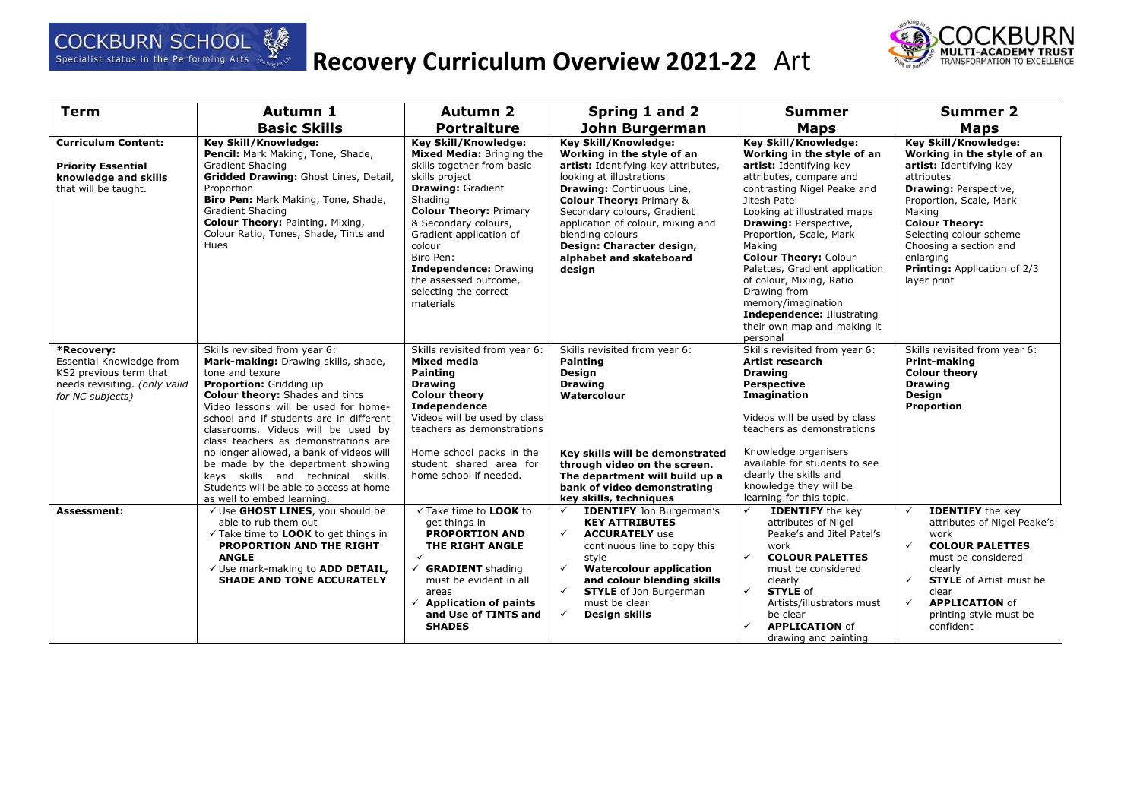

# **Recovery Curriculum Overview 2021-22** Art



| <b>Term</b>                                                                                                           | Autumn 1                                                                                                                                                                                                                                                                                                                                                                                                                                                                                                                     | <b>Autumn 2</b>                                                                                                                                                                                                                                                                                                                                    | Spring 1 and 2                                                                                                                                                                                                                                                                                                                                                    | <b>Summer</b>                                                                                                                                                                                                                                                                                                                                                                                                                                                                          | <b>Summer 2</b>                                                                                                                                                                                                                                                                                                   |
|-----------------------------------------------------------------------------------------------------------------------|------------------------------------------------------------------------------------------------------------------------------------------------------------------------------------------------------------------------------------------------------------------------------------------------------------------------------------------------------------------------------------------------------------------------------------------------------------------------------------------------------------------------------|----------------------------------------------------------------------------------------------------------------------------------------------------------------------------------------------------------------------------------------------------------------------------------------------------------------------------------------------------|-------------------------------------------------------------------------------------------------------------------------------------------------------------------------------------------------------------------------------------------------------------------------------------------------------------------------------------------------------------------|----------------------------------------------------------------------------------------------------------------------------------------------------------------------------------------------------------------------------------------------------------------------------------------------------------------------------------------------------------------------------------------------------------------------------------------------------------------------------------------|-------------------------------------------------------------------------------------------------------------------------------------------------------------------------------------------------------------------------------------------------------------------------------------------------------------------|
|                                                                                                                       | <b>Basic Skills</b>                                                                                                                                                                                                                                                                                                                                                                                                                                                                                                          | <b>Portraiture</b>                                                                                                                                                                                                                                                                                                                                 | John Burgerman                                                                                                                                                                                                                                                                                                                                                    | <b>Maps</b>                                                                                                                                                                                                                                                                                                                                                                                                                                                                            | <b>Maps</b>                                                                                                                                                                                                                                                                                                       |
| <b>Curriculum Content:</b><br><b>Priority Essential</b><br>knowledge and skills<br>that will be taught.               | Key Skill/Knowledge:<br>Pencil: Mark Making, Tone, Shade,<br>Gradient Shading<br>Gridded Drawing: Ghost Lines, Detail,<br>Proportion<br>Biro Pen: Mark Making, Tone, Shade,<br><b>Gradient Shading</b><br><b>Colour Theory: Painting, Mixing,</b><br>Colour Ratio, Tones, Shade, Tints and<br>Hues                                                                                                                                                                                                                           | <b>Key Skill/Knowledge:</b><br>Mixed Media: Bringing the<br>skills together from basic<br>skills project<br><b>Drawing: Gradient</b><br>Shading<br><b>Colour Theory: Primary</b><br>& Secondary colours,<br>Gradient application of<br>colour<br>Biro Pen:<br>Independence: Drawing<br>the assessed outcome,<br>selecting the correct<br>materials | <b>Key Skill/Knowledge:</b><br>Working in the style of an<br>artist: Identifying key attributes,<br>looking at illustrations<br><b>Drawing: Continuous Line,</b><br><b>Colour Theory: Primary &amp;</b><br>Secondary colours, Gradient<br>application of colour, mixing and<br>blending colours<br>Design: Character design,<br>alphabet and skateboard<br>design | <b>Key Skill/Knowledge:</b><br>Working in the style of an<br>artist: Identifying key<br>attributes, compare and<br>contrasting Nigel Peake and<br>Jitesh Patel<br>Looking at illustrated maps<br><b>Drawing: Perspective,</b><br>Proportion, Scale, Mark<br>Making<br><b>Colour Theory: Colour</b><br>Palettes, Gradient application<br>of colour, Mixing, Ratio<br>Drawing from<br>memory/imagination<br><b>Independence: Illustrating</b><br>their own map and making it<br>personal | <b>Key Skill/Knowledge:</b><br>Working in the style of an<br>artist: Identifying key<br>attributes<br><b>Drawing: Perspective,</b><br>Proportion, Scale, Mark<br>Making<br><b>Colour Theory:</b><br>Selecting colour scheme<br>Choosing a section and<br>enlarging<br>Printing: Application of 2/3<br>layer print |
| *Recovery:<br>Essential Knowledge from<br>KS2 previous term that<br>needs revisiting. (only valid<br>for NC subjects) | Skills revisited from year 6:<br>Mark-making: Drawing skills, shade,<br>tone and texure<br>Proportion: Gridding up<br><b>Colour theory:</b> Shades and tints<br>Video lessons will be used for home-<br>school and if students are in different<br>classrooms. Videos will be used by<br>class teachers as demonstrations are<br>no longer allowed, a bank of videos will<br>be made by the department showing<br>keys skills and technical skills.<br>Students will be able to access at home<br>as well to embed learning. | Skills revisited from year 6:<br><b>Mixed media</b><br>Painting<br><b>Drawing</b><br><b>Colour theory</b><br><b>Independence</b><br>Videos will be used by class<br>teachers as demonstrations<br>Home school packs in the<br>student shared area for<br>home school if needed.                                                                    | Skills revisited from year 6:<br><b>Painting</b><br><b>Design</b><br><b>Drawing</b><br>Watercolour<br>Key skills will be demonstrated<br>through video on the screen.<br>The department will build up a<br>bank of video demonstrating<br>key skills, techniques                                                                                                  | Skills revisited from year 6:<br>Artist research<br><b>Drawing</b><br><b>Perspective</b><br><b>Imagination</b><br>Videos will be used by class<br>teachers as demonstrations<br>Knowledge organisers<br>available for students to see<br>clearly the skills and<br>knowledge they will be<br>learning for this topic.                                                                                                                                                                  | Skills revisited from year 6:<br>Print-making<br><b>Colour theory</b><br><b>Drawing</b><br>Design<br>Proportion                                                                                                                                                                                                   |
| Assessment:                                                                                                           | √ Use GHOST LINES, you should be<br>able to rub them out<br>√ Take time to LOOK to get things in<br>PROPORTION AND THE RIGHT<br><b>ANGLE</b><br>√ Use mark-making to ADD DETAIL,<br><b>SHADE AND TONE ACCURATELY</b>                                                                                                                                                                                                                                                                                                         | √ Take time to LOOK to<br>get things in<br><b>PROPORTION AND</b><br>THE RIGHT ANGLE<br>$\checkmark$<br>$\checkmark$ GRADIENT shading<br>must be evident in all<br>areas<br>$\checkmark$ Application of paints<br>and Use of TINTS and<br><b>SHADES</b>                                                                                             | <b>IDENTIFY</b> Jon Burgerman's<br>$\checkmark$<br><b>KEY ATTRIBUTES</b><br>$\checkmark$<br><b>ACCURATELY use</b><br>continuous line to copy this<br>style<br><b>Watercolour application</b><br>$\checkmark$<br>and colour blending skills<br>$\checkmark$<br><b>STYLE</b> of Jon Burgerman<br>must be clear<br>$\checkmark$<br>Design skills                     | <b>IDENTIFY</b> the key<br>$\checkmark$<br>attributes of Nigel<br>Peake's and Jitel Patel's<br>work<br>$\checkmark$<br><b>COLOUR PALETTES</b><br>must be considered<br>clearly<br>$\checkmark$<br><b>STYLE</b> of<br>Artists/illustrators must<br>be clear<br>✓<br><b>APPLICATION of</b><br>drawing and painting                                                                                                                                                                       | <b>IDENTIFY</b> the key<br>$\checkmark$<br>attributes of Nigel Peake's<br>work<br>$\checkmark$<br><b>COLOUR PALETTES</b><br>must be considered<br>clearly<br><b>STYLE</b> of Artist must be<br>$\checkmark$<br>clear<br>$\checkmark$<br><b>APPLICATION of</b><br>printing style must be<br>confident              |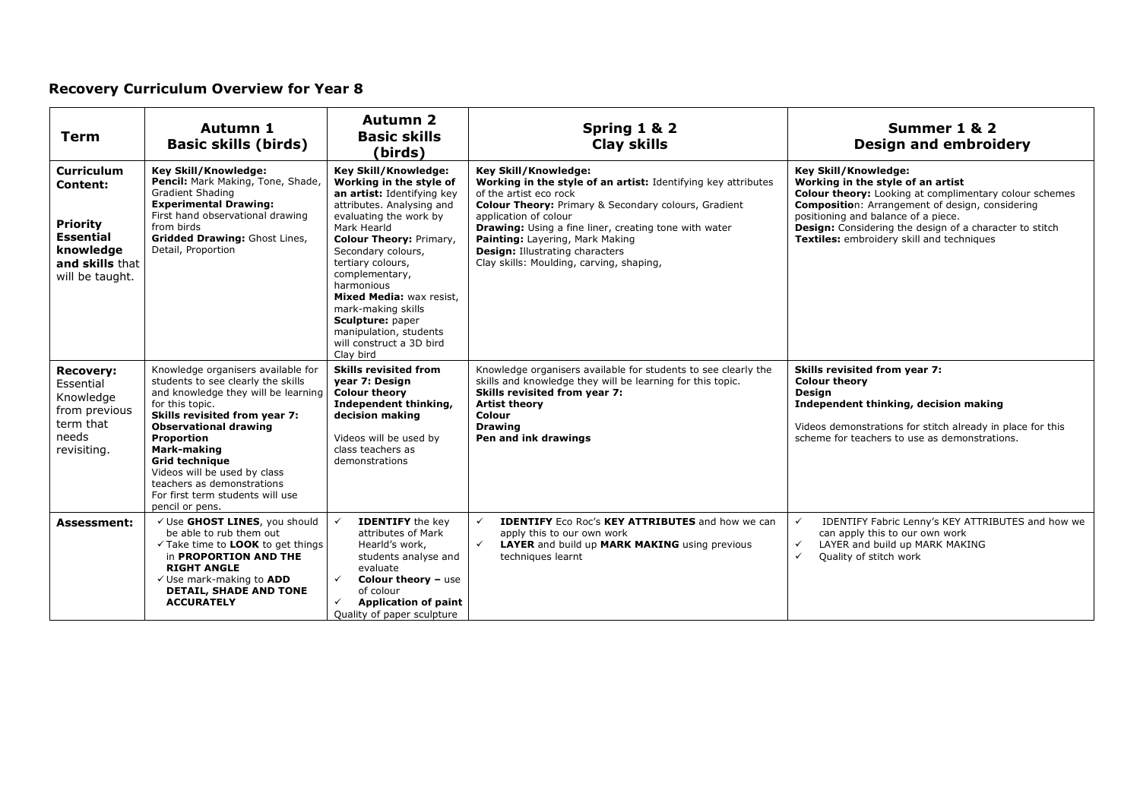| Term                                                                                                                           | Autumn 1<br><b>Basic skills (birds)</b>                                                                                                                                                                                                                                                                                                                                        | <b>Autumn 2</b><br><b>Basic skills</b><br>(birds)                                                                                                                                                                                                                                                                                                                                                         | Spring 1 & 2<br><b>Clay skills</b>                                                                                                                                                                                                                                                                                                                                                            | Summer 1 & 2<br><b>Design and embroidery</b>                                                                                                                                                                                                                                                                                        |
|--------------------------------------------------------------------------------------------------------------------------------|--------------------------------------------------------------------------------------------------------------------------------------------------------------------------------------------------------------------------------------------------------------------------------------------------------------------------------------------------------------------------------|-----------------------------------------------------------------------------------------------------------------------------------------------------------------------------------------------------------------------------------------------------------------------------------------------------------------------------------------------------------------------------------------------------------|-----------------------------------------------------------------------------------------------------------------------------------------------------------------------------------------------------------------------------------------------------------------------------------------------------------------------------------------------------------------------------------------------|-------------------------------------------------------------------------------------------------------------------------------------------------------------------------------------------------------------------------------------------------------------------------------------------------------------------------------------|
| <b>Curriculum</b><br><b>Content:</b><br><b>Priority</b><br><b>Essential</b><br>knowledge<br>and skills that<br>will be taught. | Key Skill/Knowledge:<br>Pencil: Mark Making, Tone, Shade,<br><b>Gradient Shading</b><br><b>Experimental Drawing:</b><br>First hand observational drawing<br>from birds<br><b>Gridded Drawing: Ghost Lines,</b><br>Detail, Proportion                                                                                                                                           | Key Skill/Knowledge:<br>Working in the style of<br>an artist: Identifying key<br>attributes. Analysing and<br>evaluating the work by<br>Mark Hearld<br><b>Colour Theory: Primary,</b><br>Secondary colours,<br>tertiary colours,<br>complementary,<br>harmonious<br>Mixed Media: wax resist,<br>mark-making skills<br>Sculpture: paper<br>manipulation, students<br>will construct a 3D bird<br>Clay bird | Key Skill/Knowledge:<br>Working in the style of an artist: Identifying key attributes<br>of the artist eco rock<br><b>Colour Theory: Primary &amp; Secondary colours, Gradient</b><br>application of colour<br>Drawing: Using a fine liner, creating tone with water<br>Painting: Layering, Mark Making<br><b>Design: Illustrating characters</b><br>Clay skills: Moulding, carving, shaping, | Key Skill/Knowledge:<br>Working in the style of an artist<br><b>Colour theory:</b> Looking at complimentary colour schemes<br><b>Composition:</b> Arrangement of design, considering<br>positioning and balance of a piece.<br>Design: Considering the design of a character to stitch<br>Textiles: embroidery skill and techniques |
| <b>Recovery:</b><br>Essential<br>Knowledge<br>from previous<br>term that<br>needs<br>revisiting.                               | Knowledge organisers available for<br>students to see clearly the skills<br>and knowledge they will be learning<br>for this topic.<br>Skills revisited from year 7:<br><b>Observational drawing</b><br>Proportion<br>Mark-making<br><b>Grid technique</b><br>Videos will be used by class<br>teachers as demonstrations<br>For first term students will use<br>pencil or pens. | <b>Skills revisited from</b><br>year 7: Design<br><b>Colour theory</b><br>Independent thinking,<br>decision making<br>Videos will be used by<br>class teachers as<br>demonstrations                                                                                                                                                                                                                       | Knowledge organisers available for students to see clearly the<br>skills and knowledge they will be learning for this topic.<br>Skills revisited from year 7:<br><b>Artist theory</b><br><b>Colour</b><br><b>Drawing</b><br>Pen and ink drawings                                                                                                                                              | Skills revisited from year 7:<br><b>Colour theory</b><br><b>Design</b><br>Independent thinking, decision making<br>Videos demonstrations for stitch already in place for this<br>scheme for teachers to use as demonstrations.                                                                                                      |
| <b>Assessment:</b>                                                                                                             | √ Use GHOST LINES, you should<br>be able to rub them out<br>$\checkmark$ Take time to <b>LOOK</b> to get things<br>in <b>PROPORTION AND THE</b><br><b>RIGHT ANGLE</b><br>√ Use mark-making to ADD<br><b>DETAIL, SHADE AND TONE</b><br><b>ACCURATELY</b>                                                                                                                        | <b>IDENTIFY</b> the key<br>attributes of Mark<br>Hearld's work,<br>students analyse and<br>evaluate<br>$\checkmark$<br><b>Colour theory - use</b><br>of colour<br><b>Application of paint</b><br>$\checkmark$<br>Quality of paper sculpture                                                                                                                                                               | <b>IDENTIFY</b> Eco Roc's <b>KEY ATTRIBUTES</b> and how we can<br>apply this to our own work<br>$\checkmark$<br><b>LAYER</b> and build up MARK MAKING using previous<br>techniques learnt                                                                                                                                                                                                     | $\checkmark$<br>IDENTIFY Fabric Lenny's KEY ATTRIBUTES and how we<br>can apply this to our own work<br>LAYER and build up MARK MAKING<br>$\checkmark$<br>$\checkmark$<br>Quality of stitch work                                                                                                                                     |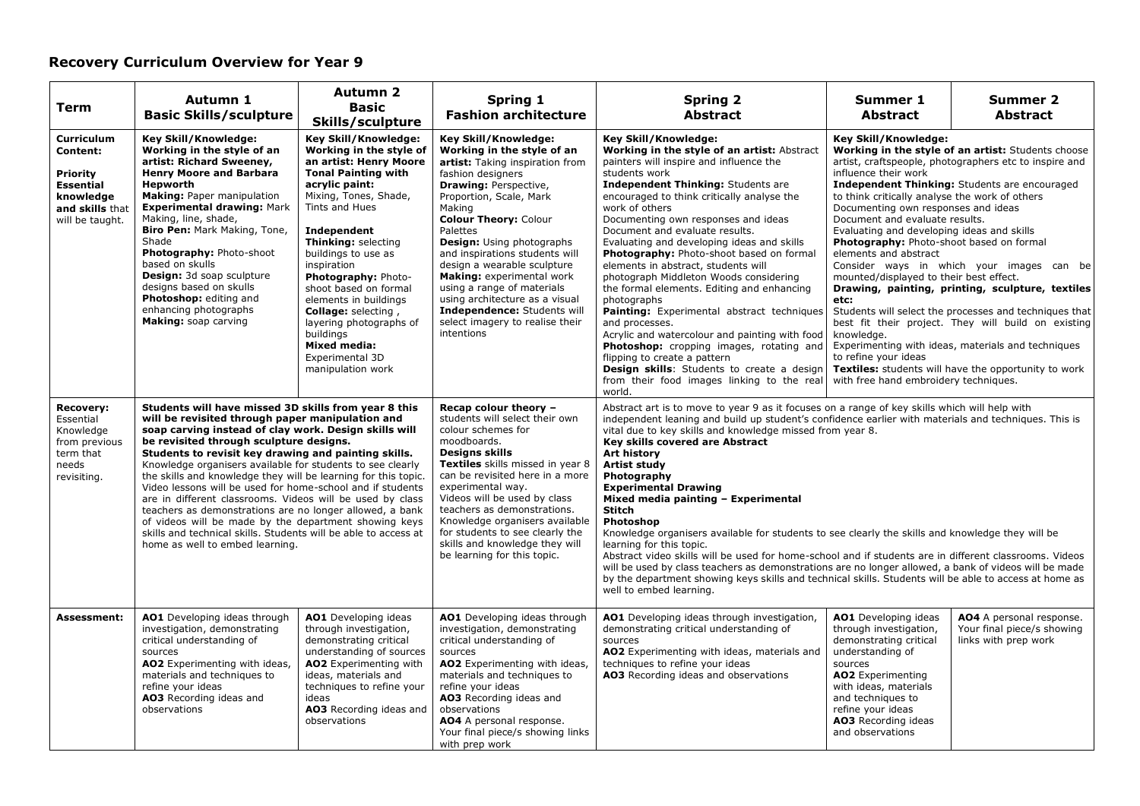| Term                                                                                                                    | Autumn 1<br><b>Basic Skills/sculpture</b>                                                                                                                                                                                                                                                                                                                                                                                                                                                                                                                                                                                                                                                                                                                  | Autumn 2<br><b>Basic</b><br>Skills/sculpture                                                                                                                                                                                                                                                                                                                                                                                                            | Spring 1<br><b>Fashion architecture</b>                                                                                                                                                                                                                                                                                                                                                                                                                                                                       | <b>Spring 2</b><br><b>Abstract</b>                                                                                                                                                                                                                                                                                                                                                                                                                                                                                                                                                                                                                                                                                                                                                                                                                                                                                                              | Summer 1<br><b>Abstract</b>                                                                                                                                                                                                                                                                                                                                                                                                  | Summer 2<br><b>Abstract</b>                                                                                                                                                                                                                                                                                                                                                                                                                                                                          |
|-------------------------------------------------------------------------------------------------------------------------|------------------------------------------------------------------------------------------------------------------------------------------------------------------------------------------------------------------------------------------------------------------------------------------------------------------------------------------------------------------------------------------------------------------------------------------------------------------------------------------------------------------------------------------------------------------------------------------------------------------------------------------------------------------------------------------------------------------------------------------------------------|---------------------------------------------------------------------------------------------------------------------------------------------------------------------------------------------------------------------------------------------------------------------------------------------------------------------------------------------------------------------------------------------------------------------------------------------------------|---------------------------------------------------------------------------------------------------------------------------------------------------------------------------------------------------------------------------------------------------------------------------------------------------------------------------------------------------------------------------------------------------------------------------------------------------------------------------------------------------------------|-------------------------------------------------------------------------------------------------------------------------------------------------------------------------------------------------------------------------------------------------------------------------------------------------------------------------------------------------------------------------------------------------------------------------------------------------------------------------------------------------------------------------------------------------------------------------------------------------------------------------------------------------------------------------------------------------------------------------------------------------------------------------------------------------------------------------------------------------------------------------------------------------------------------------------------------------|------------------------------------------------------------------------------------------------------------------------------------------------------------------------------------------------------------------------------------------------------------------------------------------------------------------------------------------------------------------------------------------------------------------------------|------------------------------------------------------------------------------------------------------------------------------------------------------------------------------------------------------------------------------------------------------------------------------------------------------------------------------------------------------------------------------------------------------------------------------------------------------------------------------------------------------|
| <b>Curriculum</b><br>Content:<br><b>Priority</b><br><b>Essential</b><br>knowledge<br>and skills that<br>will be taught. | Key Skill/Knowledge:<br>Working in the style of an<br>artist: Richard Sweeney,<br><b>Henry Moore and Barbara</b><br><b>Hepworth</b><br><b>Making: Paper manipulation</b><br><b>Experimental drawing: Mark</b><br>Making, line, shade,<br>Biro Pen: Mark Making, Tone,<br>Shade<br>Photography: Photo-shoot<br>based on skulls<br><b>Design:</b> 3d soap sculpture<br>designs based on skulls<br>Photoshop: editing and<br>enhancing photographs<br>Making: soap carving                                                                                                                                                                                                                                                                                    | Key Skill/Knowledge:<br>Working in the style of<br>an artist: Henry Moore<br><b>Tonal Painting with</b><br>acrylic paint:<br>Mixing, Tones, Shade,<br>Tints and Hues<br>Independent<br>Thinking: selecting<br>buildings to use as<br>inspiration<br>Photography: Photo-<br>shoot based on formal<br>elements in buildings<br>Collage: selecting,<br>layering photographs of<br>buildings<br><b>Mixed media:</b><br>Experimental 3D<br>manipulation work | Key Skill/Knowledge:<br>Working in the style of an<br>artist: Taking inspiration from<br>fashion designers<br><b>Drawing: Perspective,</b><br>Proportion, Scale, Mark<br>Making<br><b>Colour Theory: Colour</b><br>Palettes<br><b>Design:</b> Using photographs<br>and inspirations students will<br>design a wearable sculpture<br>Making: experimental work<br>using a range of materials<br>using architecture as a visual<br>Independence: Students will<br>select imagery to realise their<br>intentions | <b>Key Skill/Knowledge:</b><br>Working in the style of an artist: Abstract<br>painters will inspire and influence the<br>students work<br><b>Independent Thinking: Students are</b><br>encouraged to think critically analyse the<br>work of others<br>Documenting own responses and ideas<br>Document and evaluate results.<br>Evaluating and developing ideas and skills<br>Photography: Photo-shoot based on formal<br>elements in abstract, students will<br>photograph Middleton Woods considering<br>the formal elements. Editing and enhancing<br>photographs<br>Painting: Experimental abstract techniques<br>and processes.<br>Acrylic and watercolour and painting with food<br>Photoshop: cropping images, rotating and<br>flipping to create a pattern<br><b>Design skills:</b> Students to create a design<br>from their food images linking to the real<br>world.                                                                 | Key Skill/Knowledge:<br>influence their work<br>to think critically analyse the work of others<br>Documenting own responses and ideas<br>Document and evaluate results.<br>Evaluating and developing ideas and skills<br>Photography: Photo-shoot based on formal<br>elements and abstract<br>mounted/displayed to their best effect.<br>etc:<br>knowledge.<br>to refine your ideas<br>with free hand embroidery techniques. | Working in the style of an artist: Students choose<br>artist, craftspeople, photographers etc to inspire and<br>Independent Thinking: Students are encouraged<br>Consider ways in which your images can be<br>Drawing, painting, printing, sculpture, textiles<br>Students will select the processes and techniques that<br>best fit their project. They will build on existing<br>Experimenting with ideas, materials and techniques<br><b>Textiles:</b> students will have the opportunity to work |
| <b>Recovery:</b><br>Essential<br>Knowledge<br>from previous<br>term that<br>needs<br>revisiting.                        | Students will have missed 3D skills from year 8 this<br>will be revisited through paper manipulation and<br>soap carving instead of clay work. Design skills will<br>be revisited through sculpture designs.<br>Students to revisit key drawing and painting skills.<br>Knowledge organisers available for students to see clearly<br>the skills and knowledge they will be learning for this topic.<br>Video lessons will be used for home-school and if students<br>are in different classrooms. Videos will be used by class<br>teachers as demonstrations are no longer allowed, a bank<br>of videos will be made by the department showing keys<br>skills and technical skills. Students will be able to access at<br>home as well to embed learning. |                                                                                                                                                                                                                                                                                                                                                                                                                                                         | Recap colour theory -<br>students will select their own<br>colour schemes for<br>moodboards.<br><b>Designs skills</b><br>Textiles skills missed in year 8<br>can be revisited here in a more<br>experimental way.<br>Videos will be used by class<br>teachers as demonstrations.<br>Knowledge organisers available<br>for students to see clearly the<br>skills and knowledge they will<br>be learning for this topic.                                                                                        | Abstract art is to move to year 9 as it focuses on a range of key skills which will help with<br>independent leaning and build up student's confidence earlier with materials and techniques. This is<br>vital due to key skills and knowledge missed from year 8.<br>Key skills covered are Abstract<br>Art history<br><b>Artist study</b><br>Photography<br><b>Experimental Drawing</b><br>Mixed media painting - Experimental<br>Stitch<br>Photoshop<br>Knowledge organisers available for students to see clearly the skills and knowledge they will be<br>learning for this topic.<br>Abstract video skills will be used for home-school and if students are in different classrooms. Videos<br>will be used by class teachers as demonstrations are no longer allowed, a bank of videos will be made<br>by the department showing keys skills and technical skills. Students will be able to access at home as<br>well to embed learning. |                                                                                                                                                                                                                                                                                                                                                                                                                              |                                                                                                                                                                                                                                                                                                                                                                                                                                                                                                      |
| <b>Assessment:</b>                                                                                                      | AO1 Developing ideas through<br>investigation, demonstrating<br>critical understanding of<br>sources<br>AO2 Experimenting with ideas,<br>materials and techniques to<br>refine your ideas<br>AO3 Recording ideas and<br>observations                                                                                                                                                                                                                                                                                                                                                                                                                                                                                                                       | AO1 Developing ideas<br>through investigation,<br>demonstrating critical<br>understanding of sources<br>AO2 Experimenting with<br>ideas, materials and<br>techniques to refine your<br>ideas<br>AO3 Recording ideas and<br>observations                                                                                                                                                                                                                 | AO1 Developing ideas through<br>investigation, demonstrating<br>critical understanding of<br>sources<br>AO2 Experimenting with ideas,<br>materials and techniques to<br>refine your ideas<br>AO3 Recording ideas and<br>observations<br>AO4 A personal response.<br>Your final piece/s showing links<br>with prep work                                                                                                                                                                                        | AO1 Developing ideas through investigation,<br>demonstrating critical understanding of<br>sources<br>AO2 Experimenting with ideas, materials and<br>techniques to refine your ideas<br>AO3 Recording ideas and observations                                                                                                                                                                                                                                                                                                                                                                                                                                                                                                                                                                                                                                                                                                                     | AO1 Developing ideas<br>through investigation,<br>demonstrating critical<br>understanding of<br>sources<br>AO2 Experimenting<br>with ideas, materials<br>and techniques to<br>refine your ideas<br>AO3 Recording ideas<br>and observations                                                                                                                                                                                   | AO4 A personal response.<br>Your final piece/s showing<br>links with prep work                                                                                                                                                                                                                                                                                                                                                                                                                       |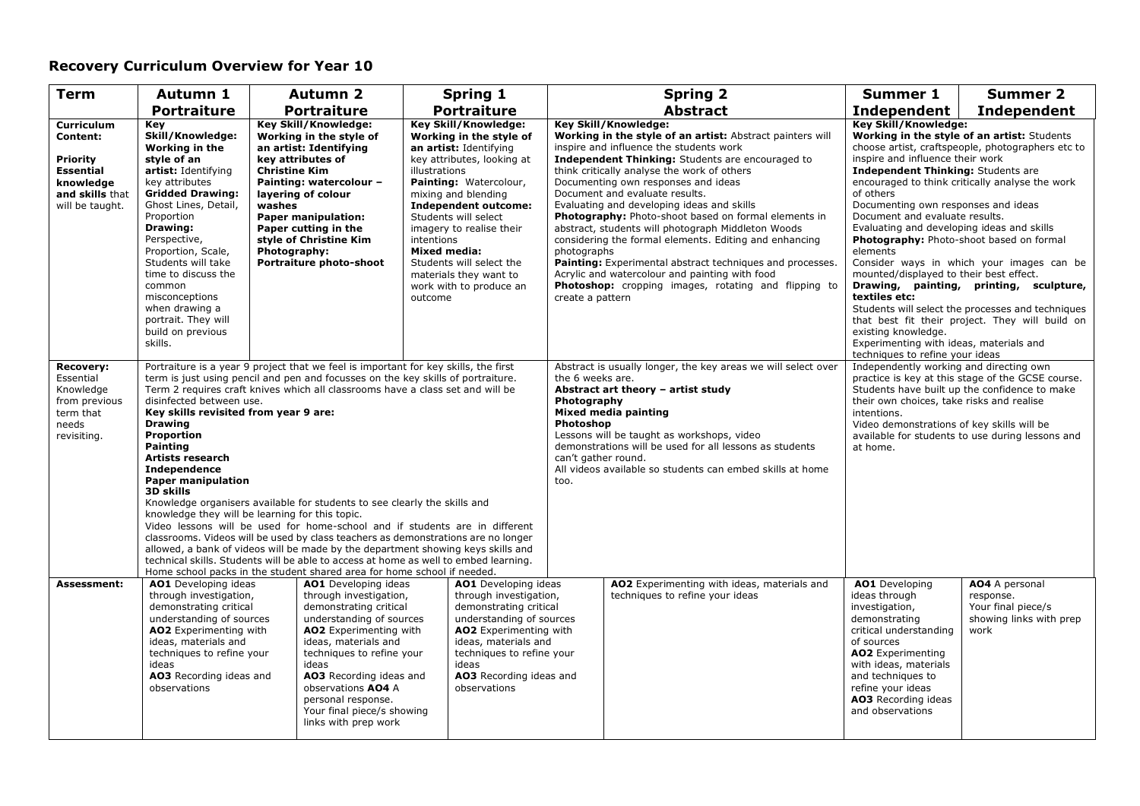| <b>Term</b>                                                                                                      | Autumn 1                                                                                                                                                                                                                                                                                                                                                                                                                                                                                                                                                                                                                                                                                                                                                                                                                                                                                                                                                                                                                                        | <b>Autumn 2</b>                                                                                                                                                                                                                                                                                                           | <b>Spring 1</b>                                                                                                                                                                                                                                                                                                                                                                               | <b>Spring 2</b>                                                                                                                                                                                                                                                                                                                                                                                                                                                                                                                                                                                                                                                                                                                                 | <b>Summer 1</b>                                                                                                                                                                                                                                                                                                                                                                                                        | <b>Summer 2</b>                                                                                                                                                                                                                                                                                                                                                                                 |
|------------------------------------------------------------------------------------------------------------------|-------------------------------------------------------------------------------------------------------------------------------------------------------------------------------------------------------------------------------------------------------------------------------------------------------------------------------------------------------------------------------------------------------------------------------------------------------------------------------------------------------------------------------------------------------------------------------------------------------------------------------------------------------------------------------------------------------------------------------------------------------------------------------------------------------------------------------------------------------------------------------------------------------------------------------------------------------------------------------------------------------------------------------------------------|---------------------------------------------------------------------------------------------------------------------------------------------------------------------------------------------------------------------------------------------------------------------------------------------------------------------------|-----------------------------------------------------------------------------------------------------------------------------------------------------------------------------------------------------------------------------------------------------------------------------------------------------------------------------------------------------------------------------------------------|-------------------------------------------------------------------------------------------------------------------------------------------------------------------------------------------------------------------------------------------------------------------------------------------------------------------------------------------------------------------------------------------------------------------------------------------------------------------------------------------------------------------------------------------------------------------------------------------------------------------------------------------------------------------------------------------------------------------------------------------------|------------------------------------------------------------------------------------------------------------------------------------------------------------------------------------------------------------------------------------------------------------------------------------------------------------------------------------------------------------------------------------------------------------------------|-------------------------------------------------------------------------------------------------------------------------------------------------------------------------------------------------------------------------------------------------------------------------------------------------------------------------------------------------------------------------------------------------|
|                                                                                                                  | <b>Portraiture</b>                                                                                                                                                                                                                                                                                                                                                                                                                                                                                                                                                                                                                                                                                                                                                                                                                                                                                                                                                                                                                              | <b>Portraiture</b>                                                                                                                                                                                                                                                                                                        | <b>Portraiture</b>                                                                                                                                                                                                                                                                                                                                                                            | <b>Abstract</b>                                                                                                                                                                                                                                                                                                                                                                                                                                                                                                                                                                                                                                                                                                                                 | Independent                                                                                                                                                                                                                                                                                                                                                                                                            | <b>Independent</b>                                                                                                                                                                                                                                                                                                                                                                              |
| Curriculum<br>Content:<br><b>Priority</b><br><b>Essential</b><br>knowledge<br>and skills that<br>will be taught. | Kev<br>Skill/Knowledge:<br>Working in the<br>style of an<br>artist: Identifying<br>key attributes<br><b>Gridded Drawing:</b><br>Ghost Lines, Detail,<br>Proportion<br>Drawing:<br>Perspective,<br>Proportion, Scale,<br>Students will take<br>time to discuss the<br>common<br>misconceptions<br>when drawing a<br>portrait. They will<br>build on previous<br>skills.                                                                                                                                                                                                                                                                                                                                                                                                                                                                                                                                                                                                                                                                          | Key Skill/Knowledge:<br>Working in the style of<br>an artist: Identifying<br>key attributes of<br><b>Christine Kim</b><br>Painting: watercolour -<br>layering of colour<br>washes<br><b>Paper manipulation:</b><br>Paper cutting in the<br>style of Christine Kim<br>Photography:<br>Portraiture photo-shoot              | Key Skill/Knowledge:<br>Working in the style of<br>an artist: Identifying<br>key attributes, looking at<br>illustrations<br>Painting: Watercolour,<br>mixing and blending<br><b>Independent outcome:</b><br>Students will select<br>imagery to realise their<br>intentions<br><b>Mixed media:</b><br>Students will select the<br>materials they want to<br>work with to produce an<br>outcome | <b>Key Skill/Knowledge:</b><br>Working in the style of an artist: Abstract painters will<br>inspire and influence the students work<br>Independent Thinking: Students are encouraged to<br>think critically analyse the work of others<br>Documenting own responses and ideas<br>Document and evaluate results.<br>Evaluating and developing ideas and skills<br>Photography: Photo-shoot based on formal elements in<br>abstract, students will photograph Middleton Woods<br>considering the formal elements. Editing and enhancing<br>photographs<br>Painting: Experimental abstract techniques and processes.<br>Acrylic and watercolour and painting with food<br>Photoshop: cropping images, rotating and flipping to<br>create a pattern | Key Skill/Knowledge:<br>inspire and influence their work<br><b>Independent Thinking: Students are</b><br>of others<br>Documenting own responses and ideas<br>Document and evaluate results.<br>Evaluating and developing ideas and skills<br>elements<br>mounted/displayed to their best effect.<br>textiles etc:<br>existing knowledge.<br>Experimenting with ideas, materials and<br>techniques to refine your ideas | Working in the style of an artist: Students<br>choose artist, craftspeople, photographers etc to<br>encouraged to think critically analyse the work<br>Photography: Photo-shoot based on formal<br>Consider ways in which your images can be<br>Drawing, painting, printing, sculpture,<br>Students will select the processes and techniques<br>that best fit their project. They will build on |
| <b>Recovery:</b><br>Essential<br>Knowledge<br>from previous<br>term that<br>needs<br>revisiting.                 | Portraiture is a year 9 project that we feel is important for key skills, the first<br>term is just using pencil and pen and focusses on the key skills of portraiture.<br>Term 2 requires craft knives which all classrooms have a class set and will be<br>disinfected between use.<br>Key skills revisited from year 9 are:<br><b>Drawing</b><br><b>Proportion</b><br><b>Painting</b><br>Artists research<br><b>Independence</b><br><b>Paper manipulation</b><br><b>3D skills</b><br>Knowledge organisers available for students to see clearly the skills and<br>knowledge they will be learning for this topic.<br>Video lessons will be used for home-school and if students are in different<br>classrooms. Videos will be used by class teachers as demonstrations are no longer<br>allowed, a bank of videos will be made by the department showing keys skills and<br>technical skills. Students will be able to access at home as well to embed learning.<br>Home school packs in the student shared area for home school if needed. |                                                                                                                                                                                                                                                                                                                           | Abstract is usually longer, the key areas we will select over<br>the 6 weeks are.<br>Abstract art theory - artist study<br>Photography<br>Mixed media painting<br>Photoshop<br>Lessons will be taught as workshops, video<br>demonstrations will be used for all lessons as students<br>can't gather round.<br>All videos available so students can embed skills at home<br>too.              | intentions.<br>at home.                                                                                                                                                                                                                                                                                                                                                                                                                                                                                                                                                                                                                                                                                                                         | Independently working and directing own<br>practice is key at this stage of the GCSE course.<br>Students have built up the confidence to make<br>their own choices, take risks and realise<br>Video demonstrations of key skills will be<br>available for students to use during lessons and                                                                                                                           |                                                                                                                                                                                                                                                                                                                                                                                                 |
| Assessment:                                                                                                      | AO1 Developing ideas<br>through investigation,<br>demonstrating critical<br>understanding of sources<br>AO2 Experimenting with<br>ideas, materials and<br>techniques to refine your<br>ideas<br>AO3 Recording ideas and<br>observations                                                                                                                                                                                                                                                                                                                                                                                                                                                                                                                                                                                                                                                                                                                                                                                                         | AO1 Developing ideas<br>through investigation,<br>demonstrating critical<br>understanding of sources<br>AO2 Experimenting with<br>ideas, materials and<br>techniques to refine your<br>ideas<br>AO3 Recording ideas and<br>observations AO4 A<br>personal response.<br>Your final piece/s showing<br>links with prep work | AO1 Developing ideas<br>through investigation,<br>demonstrating critical<br>understanding of sources<br>AO2 Experimenting with<br>ideas, materials and<br>techniques to refine your<br>ideas<br>AO3 Recording ideas and<br>observations                                                                                                                                                       | AO2 Experimenting with ideas, materials and<br>techniques to refine your ideas                                                                                                                                                                                                                                                                                                                                                                                                                                                                                                                                                                                                                                                                  | AO1 Developing<br>ideas through<br>investigation,<br>demonstrating<br>critical understanding<br>of sources<br><b>AO2</b> Experimenting<br>with ideas, materials<br>and techniques to<br>refine your ideas<br>AO3 Recording ideas<br>and observations                                                                                                                                                                   | AO4 A personal<br>response.<br>Your final piece/s<br>showing links with prep<br>work                                                                                                                                                                                                                                                                                                            |